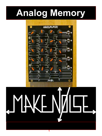# **Analog Memory**



# $\begin{bmatrix} 1 \\ -1 \end{bmatrix}$  $\blacktriangledown$ **A SET**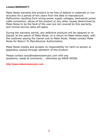# **Limited WARRANTY:**

Make Noise warrants this product to be free of defects in materials or construction for a period of two years from the date of manufacture. Malfunction resulting from wrong power supply voltages, backwards power cable connection, abuse of the product or any other causes determined by Make Noise to be the fault of the user are not covered by this warranty, and normal service rates will apply.

During the warranty period, any defective products will be repaired or replaced, at the option of Make Noise, on a return-to-Make Noise basis, with the customer paying the transit cost to Make Noise. Please contact Make Noise for Return To Manufacturer Authorization.

Make Noise implies and accepts no responsibility for harm to person or apparatus caused through operation of this product.

Please contact tony@makenoisemusic.com with any questions, needs & comments... otherwise go MAKE NOISE.

**http://www.makenoisemusic.com**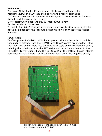# **Installation:**

The Make Noise Analog Memory is an electronic signal generator requiring 20mA of +12V regulated power and properly formatted distribution receptacle to operate. It is designed to be used within the euro format modular synthesizer system.

Go to http://www.doepfer.de/a100\_man/a100t\_e.htm for the details of this format.

To install, find 20HP of space in your euro-rack synthesizer system directly above or adjacent to the Pressure Points which will connect to the Analog Memory.

Power Cable:

Confirm proper installation of included power cable on backside of module (see picture below). Once the EXPAND and CHAIN cables are installed, plug the 16pin end power cable into the euro-rack style power distribution board, minding the polarity so that the RED stripe on the cable is oriented to the NEGATIVE 12 volt supply line. This is USUALLY at the bottom. Please refer to your case manufacturers' specifications for location of the negative supply.



Proper installation of included power cable on module. Please note the RED BAND.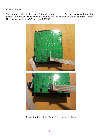#### EXPAND Cable:

The expand cable has four 10 x 2 female connector on a flat grey cable with one Red Stripe. One end of this cable is attached to the Pin Header on the back of the Analog Memory where it says "Connect to EXPAND."





Orient the Red Stripe Down for easy installation.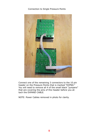## Connection to Single Pressure Points



Connect one of the remaining 3 connectors to the 10 pin header on the Pressure Points that is marked "EXPND." You will need to remove all 4 of the small black "jumpers" that are covering the pins of this header before you attach the EXPAND CABLE.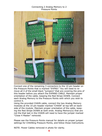#### Connecting 2 Analog Memory to 2 Pressure Points



Connect one of the remaining 3 connectors to the 10 pin header on the Pressure Points that is marked "EXPND." You will need to remove all 4 of the small black "jumpers" that are covering the pins of this header before you attach the EXPAND CABLE. Maintain proper orientation of the cable, keeping the Red Stripe DOWN. Connect each Analog Memory to the Pressure Points with which you wish to control it.

Using the provided CHAIN cable, connect the two Analog Memory modules at the 10 pin header marked "CHAIN" at top left on backside of the module. Maintain proper orientation of the cable, keeping the Red Stripe DOWN at both ends. Analog Memory(s) that are not the that last in the CHAIN will need to have the jumper marked "Close 4 Master" removed.

Please see the Pressure Points manual for details on proper jumper settings for CHAINing Pressure Points, and follow those instructions.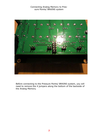### Connecting Analog Memory to Pressure Points/ BRAINS system



Before connecting to the Pressure Points/ BRAINS system, you will need to remove the 4 jumpers along the bottom of the backside of the Analog Memory.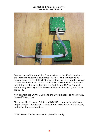#### Connecting 1 Analog Memory to Pressure Points/ BRAINS



Connect one of the remaining 3 connectors to the 10 pin header on the Pressure Points that is marked "EXPND." You will need to remove all 4 of the small black "jumpers" that are covering the pins of this header before you attach the EXPAND CABLE. Maintain proper orientation of the cable, keeping the Red Stripe DOWN. Connect each Analog Memory to the Pressure Points with which you wish to control it.

Now connect the EXPAND Cable to the 10 pin header on the BRAINS marked "Points 1-4."

Please see the Pressure Points and BRAINS manuals for details on proper jumper settings and connection for Pressure Points/ BRAINS, and follow those instructions.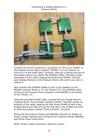#### Connecting 2 Analog Memory to 2 Pressure Points



Connect one of the remaining 3 connectors to the 10 pin header on the Pressure Points that is marked "EXPND." You will need to remove all 4 of the small black "jumpers" that are covering the pins of this header before you attach the EXPAND CABLE. Maintain proper orientation of the cable, keeping the Red Stripe DOWN. Connect each Analog Memory to the Pressure Points with which you wish to control it.

Now connect the EXPAND Cables to the 10 pin headers on the BRAINS marked "Points 1-4" and "Points 5-8." The EXPAND Cable coming of the Pressure Points nearest to the BRAINS is connected to the "Points 1-4."

Using the provided CHAIN cable, connect the two Analog Memory modules at the 10 pin header marked "CHAIN." Maintain proper orientation of the cable, keeping the Red Stripe DOWN at both ends. Analog Memory(s) that are not the that last in the CHAIN will need to have the jumper marked "Close 4 Master" removed.

Please see the Pressure Points and BRAINS manuals for details on proper jumper settings and connection for Pressure Points/ BRAINS, and follow those instructions.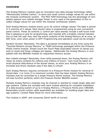# **OVERVIEW**

The Analog Memory module uses an innovative new data storage technology called "Mechanically Orbited Carbon," to store and recall control voltage values for use within the modular synthesizer system. The MOC RAM technology has the advantage of completely passive non-volatile storage! Power is only used in the generation of the recalled voltage values for use within the modular synthesizer system.

Each Analog Memory module stores up to 20 control voltage values! The data is stored in 4 columns of 5 values. Each stored value is programmed using its own convenient panel control. These 20 controls (1 control per value stored) include a soft touch knob that is pleasing to grip for programming, and marked with a brightly colored indicator line so that the user may view the entire contents of the Analog Memory all at once, at ANY time, even when power is OFF! Programming and operation could not be simpler!

Random Access? Absolutely. The data is accessed immediately at any time using the "Touched Random Access Memory" or TRAM technology packaged within the Pressure Points control module. Simply touch the Touch Plate associated column of values you wish to recall and those voltages will appear. Additionally the Analog Memory is compatible with the BRAINS module for sequential memory access.

Non-volatile storage? Absolutely. Even while powered down, the Analog Memory will retain its entire contents for millions and millions of hours! Care must be taken to avoid physical disturbance of the stored values, so store your Analog Memory in an enclosed and shock resistant case if the data is critical!

Each Analog Memory requires connection to a Pressure Points module for retrieval of stored data. 2 or more (3 is maximum number that has been tested) Analog Memory modules may be connected to a single Pressure Points module. The Analog Memory will also function perfectly within the Pressure Points/ BRAINS system.

Multiple Analog Memory modules may be chained or stacked to create larger data storage systems. Cables are included with each module allowing for complete installation of a data bussing system of up to 4 Analog Memory, 2 Pressure Points and 2 BRAINS. Reasonably priced custom cable assemblies are available for building larger data storage systems. Contact Make Noise for more information.

This module is 20HP and consumes 20mA worth of current.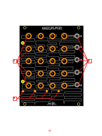